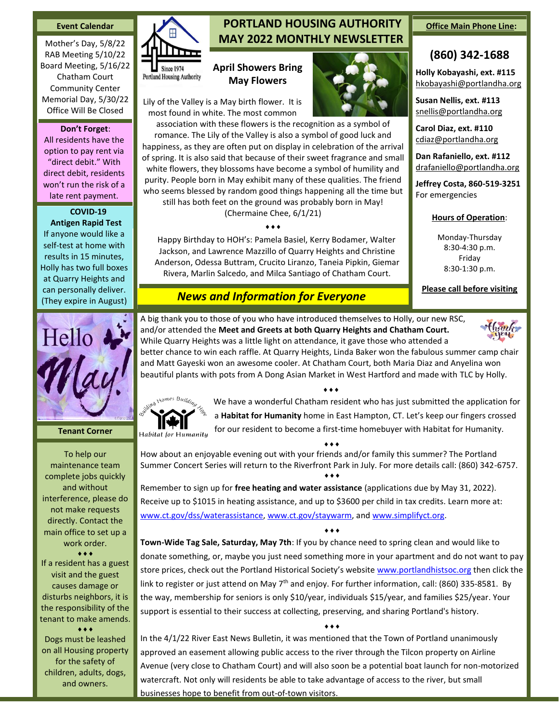#### **Event Calendar**

Mother's Day, 5/8/22 RAB Meeting 5/10/22 Board Meeting, 5/16/22 Chatham Court Community Center Memorial Day, 5/30/22 Office Will Be Closed

#### **Don't Forget**:

All residents have the option to pay rent via "direct debit." With direct debit, residents won't run the risk of a late rent payment.

# **COVID-19**

**Antigen Rapid Test** If anyone would like a self-test at home with results in 15 minutes, Holly has two full boxes at Quarry Heights and can personally deliver. (They expire in August)



**Tenant Corner**

To help our maintenance team complete jobs quickly and without interference, please do not make requests directly. Contact the main office to set up a work order.  $\bullet\bullet\bullet$ 

If a resident has a guest visit and the guest causes damage or disturbs neighbors, it is the responsibility of the tenant to make amends.  $***$ 

Dogs must be leashed on all Housing property for the safety of children, adults, dogs, and owners.



# **PORTLAND HOUSING AUTHORITY MAY 2022 MONTHLY NEWSLETTER**

## **April Showers Bring May Flowers**

Lily of the Valley is a May birth flower. It is most found in white. The most common

association with these flowers is the recognition as a symbol of romance. The Lily of the Valley is also a symbol of good luck and happiness, as they are often put on display in celebration of the arrival of spring. It is also said that because of their sweet fragrance and small white flowers, they blossoms have become a symbol of humility and purity. People born in May exhibit many of these qualities. The friend who seems blessed by random good things happening all the time but still has both feet on the ground was probably born in May!

(Chermaine Chee, 6/1/21)  $\dots$ 

Happy Birthday to HOH's: Pamela Basiel, Kerry Bodamer, Walter Jackson, and Lawrence Mazzillo of Quarry Heights and Christine Anderson, Odessa Buttram, Crucito Liranzo, Taneia Pipkin, Giemar Rivera, Marlin Salcedo, and Milca Santiago of Chatham Court.

# *News and Information for Everyone*

A big thank you to those of you who have introduced themselves to Holly, our new RSC, and/or attended the **Meet and Greets at both Quarry Heights and Chatham Court.** While Quarry Heights was a little light on attendance, it gave those who attended a

better chance to win each raffle. At Quarry Heights, Linda Baker won the fabulous summer camp chair and Matt Gayeski won an awesome cooler. At Chatham Court, both Maria Diaz and Anyelina won beautiful plants with pots from A Dong Asian Market in West Hartford and made with TLC by Holly.



We have a wonderful Chatham resident who has just submitted the application for a **Habitat for Humanity** home in East Hampton, CT. Let's keep our fingers crossed for our resident to become a first-time homebuyer with Habitat for Humanity.

 $\bullet \bullet \bullet$ 

How about an enjoyable evening out with your friends and/or family this summer? The Portland Summer Concert Series will return to the Riverfront Park in July. For more details call: (860) 342-6757.  $\bullet\bullet\bullet$ 

Remember to sign up for **free heating and water assistance** (applications due by May 31, 2022). Receive up to \$1015 in heating assistance, and up to \$3600 per child in tax credits. Learn more at: [www.ct.gov/dss/waterassistance,](http://www.ct.gov/dss/waterassistance) [www.ct.gov/staywarm,](http://www.ct.gov/staywarm) and [www.simplifyct.org.](http://www.simplifyct.org/)

 $\bullet\bullet\bullet$ 

**Town-Wide Tag Sale, Saturday, May 7th**: If you by chance need to spring clean and would like to donate something, or, maybe you just need something more in your apartment and do not want to pay store prices, check out the Portland Historical Society's website [www.portlandhistsoc.org](http://www.portlandhistsoc.org/) then click the link to register or just attend on May  $7<sup>th</sup>$  and enjoy. For further information, call: (860) 335-8581. By the way, membership for seniors is only \$10/year, individuals \$15/year, and families \$25/year. Your support is essential to their success at collecting, preserving, and sharing Portland's history.

 $\bullet\bullet\bullet$ 

In the 4/1/22 River East News Bulletin, it was mentioned that the Town of Portland unanimously approved an easement allowing public access to the river through the Tilcon property on Airline Avenue (very close to Chatham Court) and will also soon be a potential boat launch for non-motorized watercraft. Not only will residents be able to take advantage of access to the river, but small businesses hope to benefit from out-of-town visitors.

#### **Office Main Phone Line:**

## **(860) 342-1688**

**Holly Kobayashi, ext. #115** [hkobayashi@portlandha.org](mailto:hkobayashi@portlandha.org)

**Susan Nellis, ext. #113** [snellis@portlandha.org](mailto:snellis@portlandha.org)

**Carol Diaz, ext. #110** [cdiaz@portlandha.org](mailto:cdiaz@portlandha.org)

**Dan Rafaniello, ext. #112** [drafaniello@portlandha.org](mailto:drafaniello@portlandha.org)

**Jeffrey Costa, 860-519-3251** For emergencies

## **Hours of Operation**:

Monday-Thursday 8:30-4:30 p.m. Friday 8:30-1:30 p.m.

**Please call before visiting**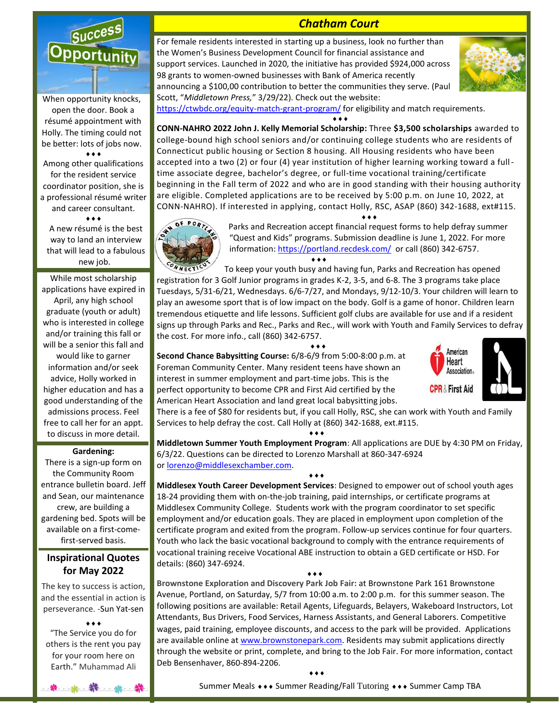

When opportunity knocks, open the door. Book a résumé appointment with Holly. The timing could not be better: lots of jobs now.  $\bullet$   $\bullet$   $\bullet$ 

Among other qualifications for the resident service coordinator position, she is a professional résumé writer and career consultant.  $\bullet\bullet\bullet$ 

A new résumé is the best way to land an interview that will lead to a fabulous new job.

While most scholarship applications have expired in April, any high school graduate (youth or adult) who is interested in college and/or training this fall or will be a senior this fall and would like to garner information and/or seek advice, Holly worked in higher education and has a good understanding of the admissions process. Feel free to call her for an appt. to discuss in more detail.

#### **Gardening:**

There is a sign-up form on the Community Room entrance bulletin board. Jeff and Sean, our maintenance crew, are building a gardening bed. Spots will be available on a first-comefirst-served basis.

## **Inspirational Quotes for May 2022**

The key to success is action, and the essential in action is perseverance. [-Sun Yat-sen](https://quotes.yourdictionary.com/author/sun-yat-sen)

 $\bullet\bullet\bullet$ "The Service you do for others is the rent you pay for your room here on Earth." Muhammad Ali

\* \* \* \* \*

*Chatham Court*

For female residents interested in starting up a business, look no further than the Women's Business Development Council for financial assistance and support services. Launched in 2020, the initiative has provided \$924,000 across 98 grants to women-owned businesses with Bank of America recently announcing a \$100,00 contribution to better the communities they serve. (Paul Scott, "*Middletown Press,*" 3/29/22). Check out the website:



<https://ctwbdc.org/equity-match-grant-program/> for eligibility and match requirements.

**CONN-NAHRO 2022 John J. Kelly Memorial Scholarship:** Three **\$3,500 scholarships** awarded to college-bound high school seniors and/or continuing college students who are residents of Connecticut public housing or Section 8 housing. All Housing residents who have been accepted into a two (2) or four (4) year institution of higher learning working toward a fulltime associate degree, bachelor's degree, or full-time vocational training/certificate beginning in the Fall term of 2022 and who are in good standing with their housing authority are eligible. Completed applications are to be received by 5:00 p.m. on June 10, 2022, at CONN-NAHRO). If interested in applying, contact Holly, RSC, ASAP (860) 342-1688, ext#115.

 $\bullet\bullet\bullet$ 



Parks and Recreation accept financial request forms to help defray summer "Quest and Kids" programs. Submission deadline is June 1, 2022. For more information: <https://portland.recdesk.com/>or call (860) 342-6757.  $\bullet$   $\bullet$   $\bullet$ 

 $\bullet\bullet\bullet$ 

To keep your youth busy and having fun, Parks and Recreation has opened registration for 3 Golf Junior programs in grades K-2, 3-5, and 6-8. The 3 programs take place Tuesdays, 5/31-6/21, Wednesdays. 6/6-7/27, and Mondays, 9/12-10/3. Your children will learn to play an awesome sport that is of low impact on the body. Golf is a game of honor. Children learn tremendous etiquette and life lessons. Sufficient golf clubs are available for use and if a resident signs up through Parks and Rec., Parks and Rec., will work with Youth and Family Services to defray the cost. For more info., call (860) 342-6757.

 $\bullet \bullet \bullet$ 

**Second Chance Babysitting Course:** 6/8-6/9 from 5:00-8:00 p.m. at Foreman Community Center. Many resident teens have shown an interest in summer employment and part-time jobs. This is the perfect opportunity to become CPR and First Aid certified by the American Heart Association and land great local babysitting jobs.

 $\bullet \bullet \bullet$ 

 $\bullet \bullet \bullet$ 





There is a fee of \$80 for residents but, if you call Holly, RSC, she can work with Youth and Family Services to help defray the cost. Call Holly at (860) 342-1688, ext.#115.

**Middletown Summer Youth Employment Program**: All applications are DUE by 4:30 PM on Friday, 6/3/22. Questions can be directed to Lorenzo Marshall at 860-347-6924 or [lorenzo@middlesexchamber.com.](mailto:lorenzo@middlesexchamber.com)

 $\bullet \bullet \bullet$ **Middlesex Youth Career Development Services**: Designed to empower out of school youth ages 18-24 providing them with on-the-job training, paid internships, or certificate programs at Middlesex Community College. Students work with the program coordinator to set specific employment and/or education goals. They are placed in employment upon completion of the certificate program and exited from the program. Follow-up services continue for four quarters. Youth who lack the basic vocational background to comply with the entrance requirements of vocational training receive Vocational ABE instruction to obtain a GED certificate or HSD. For details: (860) 347-6924.

 $\bullet \bullet \bullet$ 

**Brownstone Exploration and Discovery Park Job Fair:** at Brownstone Park 161 Brownstone Avenue, Portland, on Saturday, 5/7 from 10:00 a.m. to 2:00 p.m. for this summer season. The following positions are available: Retail Agents, Lifeguards, Belayers, Wakeboard Instructors, Lot Attendants, Bus Drivers, Food Services, Harness Assistants, and General Laborers. Competitive wages, paid training, employee discounts, and access to the park will be provided. Applications are available online a[t www.brownstonepark.com.](http://www.brownstonepark.com/) Residents may submit applications directly through the website or print, complete, and bring to the Job Fair. For more information, contact Deb Bensenhaver, 860-894-2206.